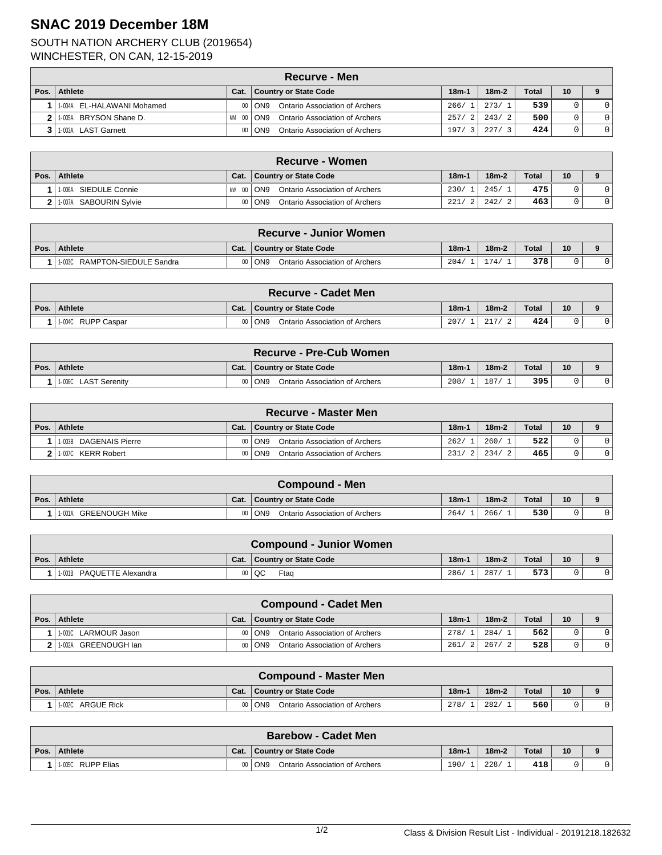## **SNAC 2019 December 18M**

## SOUTH NATION ARCHERY CLUB (2019654) WINCHESTER, ON CAN, 12-15-2019

|      | Recurve - Men              |           |                                                     |                        |         |       |    |                |  |  |  |
|------|----------------------------|-----------|-----------------------------------------------------|------------------------|---------|-------|----|----------------|--|--|--|
| Pos. | Athlete                    | Cat.      | Country or State Code                               | $18m-1$                | $18m-2$ | Total | 10 |                |  |  |  |
|      | 1-004A EL-HALAWANI Mohamed |           | <b>Ontario Association of Archers</b><br>$00  $ ON9 | 266/                   | 273/    | 539   |    | $\Omega$       |  |  |  |
|      | BRYSON Shane D.<br>1-005A  | МM<br>-00 | <b>Ontario Association of Archers</b><br>  ON9      | 257/<br>$\overline{2}$ | 243/2   | 500   |    | $\Omega$       |  |  |  |
|      | 1-003A LAST Garnett        |           | <b>Ontario Association of Archers</b><br>$00  $ ON9 | 197/<br>3              | 227/    | 424   |    | $\overline{0}$ |  |  |  |

| ∖Recurve - Women             |            |                                                   |         |             |       |                 |  |  |  |
|------------------------------|------------|---------------------------------------------------|---------|-------------|-------|-----------------|--|--|--|
| Pos.   Athlete               | Cat.       | <b>Country or State Code</b>                      | $18m -$ | $18m-2$     | Total | 10 <sup>°</sup> |  |  |  |
| SIEDULE Connie<br>$1 - 006A$ | MW<br>- 00 | Ontario Association of Archers<br>ON <sub>9</sub> | 230/    | 245/        | 475   |                 |  |  |  |
| SABOURIN Sylvie<br>1-007A    | 00         | Ontario Association of Archers<br>ON <sub>9</sub> | 221/    | 242/<br>- 2 | 463   |                 |  |  |  |

|      | <b>Recurve - Junior Women</b>    |      |                                                   |         |         |       |    |  |  |  |
|------|----------------------------------|------|---------------------------------------------------|---------|---------|-------|----|--|--|--|
| Pos. | Athlete                          | Cat. | Country or State Code                             | $18m-1$ | $18m-2$ | Total | 10 |  |  |  |
|      | RAMPTON-SIEDULE Sandra<br>1-003C | m    | ON <sub>9</sub><br>Ontario Association of Archers | 204/    | 174.    | 378   |    |  |  |  |

| <b>Recurve - Cadet Men</b> |        |                                                   |         |         |              |    |  |  |  |
|----------------------------|--------|---------------------------------------------------|---------|---------|--------------|----|--|--|--|
| Pos. Athlete               | Cat.   | Country or State Code                             | $18m-1$ | $18m-2$ | <b>Total</b> | 10 |  |  |  |
| 1.004C RUPP Caspar         | $00\,$ | Ontario Association of Archers<br>ON <sub>9</sub> | 207,    |         | 424          |    |  |  |  |

|                       |         | ∖Recurve - Pre-Cub Women ∖                        |         |         |              |    |  |
|-----------------------|---------|---------------------------------------------------|---------|---------|--------------|----|--|
| Pos. Athlete          | Cat.    | <b>Country or State Code</b>                      | $18m-1$ | $18m-2$ | <b>Total</b> | 10 |  |
| 11-006C LAST Serenity | $00 \,$ | Ontario Association of Archers<br>ON <sub>9</sub> | 208/    | 187     | 395          |    |  |

| <b>Recurve - Master Men</b> |                |                                            |         |         |              |                 |  |  |  |
|-----------------------------|----------------|--------------------------------------------|---------|---------|--------------|-----------------|--|--|--|
| Pos.   Athlete              | Cat.           | Country or State Code                      | $18m -$ | $18m-2$ | <b>Total</b> | 10 <sup>°</sup> |  |  |  |
| 11-003B DAGENAIS Pierre     |                | Ontario Association of Archers<br>00   ON9 | 262/    | 260/1   | 522          | 0               |  |  |  |
| 2 1.007C KERR Robert        | 0 <sup>0</sup> | Ontario Association of Archers<br>l ON9    | 231/2   | 234/    | 465          |                 |  |  |  |

|      | <b>Compound - Men</b>        |      |                                                   |         |         |       |    |  |  |  |
|------|------------------------------|------|---------------------------------------------------|---------|---------|-------|----|--|--|--|
| Pos. | Athlete                      | Cat. | Country or State Code                             | $18m-1$ | $18m-2$ | Total | 10 |  |  |  |
|      | GREENOUGH Mike<br>$1 - 001A$ |      | ON <sub>9</sub><br>Ontario Association of Archers | 264/    | 266/    | 530   |    |  |  |  |

|          | <b>Compound - Junior Women</b> |      |                       |         |         |              |    |  |  |  |
|----------|--------------------------------|------|-----------------------|---------|---------|--------------|----|--|--|--|
| Pos. $ $ | Athlete                        | Cat. | Country or State Code | $18m-1$ | $18m-2$ | <b>Total</b> | 10 |  |  |  |
|          | 1-001B PAQUETTE Alexandra      | 00   | QC<br>Ftag            | 286/    | 287/    | 573          |    |  |  |  |

|      | <b>Compound - Cadet Men</b> |                 |                                         |       |                |         |              |    |  |  |
|------|-----------------------------|-----------------|-----------------------------------------|-------|----------------|---------|--------------|----|--|--|
| Pos. | Athlete                     | Cat.            | Country or State Code                   | 18m-1 |                | $18m-2$ | <b>Total</b> | 10 |  |  |
|      | 1-001C LARMOUR Jason        | 00 <sup>1</sup> | Ontario Association of Archers<br>  ON9 | 278/  |                | 284/    | 562          |    |  |  |
|      | GREENOUGH Ian<br>$1 - 002A$ | 00 <sup>1</sup> | Ontario Association of Archers<br>  ON9 | 261/  | $\overline{2}$ | 267/    | 528          |    |  |  |

|      | <b>Compound - Master Men</b> |                 |                                         |         |         |              |    |  |  |  |
|------|------------------------------|-----------------|-----------------------------------------|---------|---------|--------------|----|--|--|--|
| Pos. | Athlete                      | Cat.            | Country or State Code                   | $18m-1$ | $18m-2$ | <b>Total</b> | 10 |  |  |  |
|      | 1-002C ARGUE Rick            | 00 <sup>1</sup> | Ontario Association of Archers<br>  ON9 | 278/    | 282/    | 560          |    |  |  |  |

| <b>Barebow - Cadet Men</b> |      |                                          |         |         |              |    |  |  |  |
|----------------------------|------|------------------------------------------|---------|---------|--------------|----|--|--|--|
| Pos. Athlete               | Cat. | Country or State Code                    | $18m-1$ | $18m-2$ | <b>Total</b> | 10 |  |  |  |
| 1-005C RUPP Elias          |      | 00 ON9<br>Ontario Association of Archers | 190/    | 228/    | 418          |    |  |  |  |
|                            |      |                                          |         |         |              |    |  |  |  |